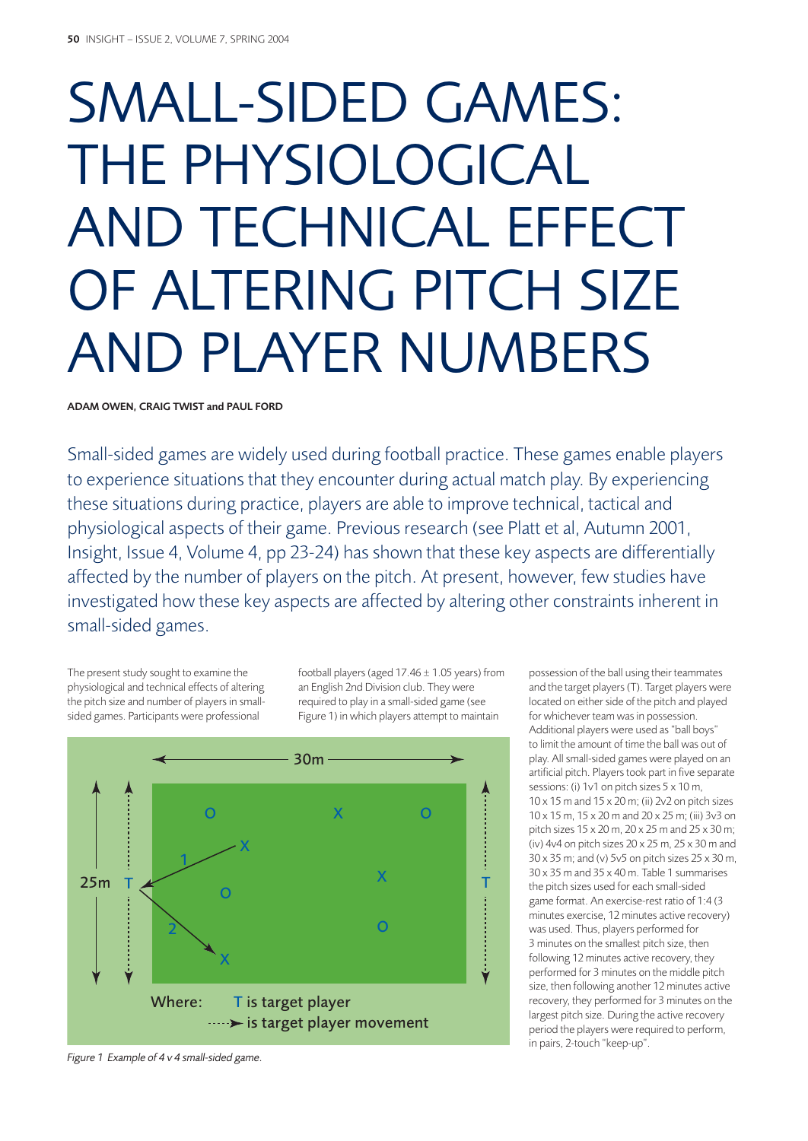# SMALL-SIDED GAMES: THE PHYSIOLOGICAL AND TECHNICAL EFFECT OF ALTERING PITCH SIZE AND PLAYER NUMBERS

ADAM OWEN, CRAIG TWIST and PAUL FORD

Small-sided games are widely used during football practice. These games enable players to experience situations that they encounter during actual match play. By experiencing these situations during practice, players are able to improve technical, tactical and physiological aspects of their game. Previous research (see Platt et al, Autumn 2001, Insight, Issue 4, Volume 4, pp 23-24) has shown that these key aspects are differentially affected by the number of players on the pitch. At present, however, few studies have investigated how these key aspects are affected by altering other constraints inherent in small-sided games.

The present study sought to examine the physiological and technical effects of altering the pitch size and number of players in smallsided games. Participants were professional

football players (aged  $17.46 \pm 1.05$  years) from an English 2nd Division club. They were required to play in a small-sided game (see Figure 1) in which players attempt to maintain



*Figure 1 Example of 4 v 4 small-sided game.*

possession of the ball using their teammates and the target players (T). Target players were located on either side of the pitch and played for whichever team was in possession. Additional players were used as "ball boys" to limit the amount of time the ball was out of play. All small-sided games were played on an artificial pitch. Players took part in five separate sessions: (i) 1v1 on pitch sizes 5 x 10 m, 10 x 15 m and 15 x 20 m; (ii) 2v2 on pitch sizes 10 x 15 m, 15 x 20 m and 20 x 25 m; (iii) 3v3 on pitch sizes 15 x 20 m, 20 x 25 m and 25 x 30 m; (iv) 4v4 on pitch sizes 20 x 25 m, 25 x 30 m and 30 x 35 m; and (v) 5v5 on pitch sizes 25 x 30 m, 30 x 35 m and 35 x 40 m. Table 1 summarises the pitch sizes used for each small-sided game format. An exercise-rest ratio of 1:4 (3 minutes exercise, 12 minutes active recovery) was used. Thus, players performed for 3 minutes on the smallest pitch size, then following 12 minutes active recovery, they performed for 3 minutes on the middle pitch size, then following another 12 minutes active recovery, they performed for 3 minutes on the largest pitch size. During the active recovery period the players were required to perform, in pairs, 2-touch "keep-up".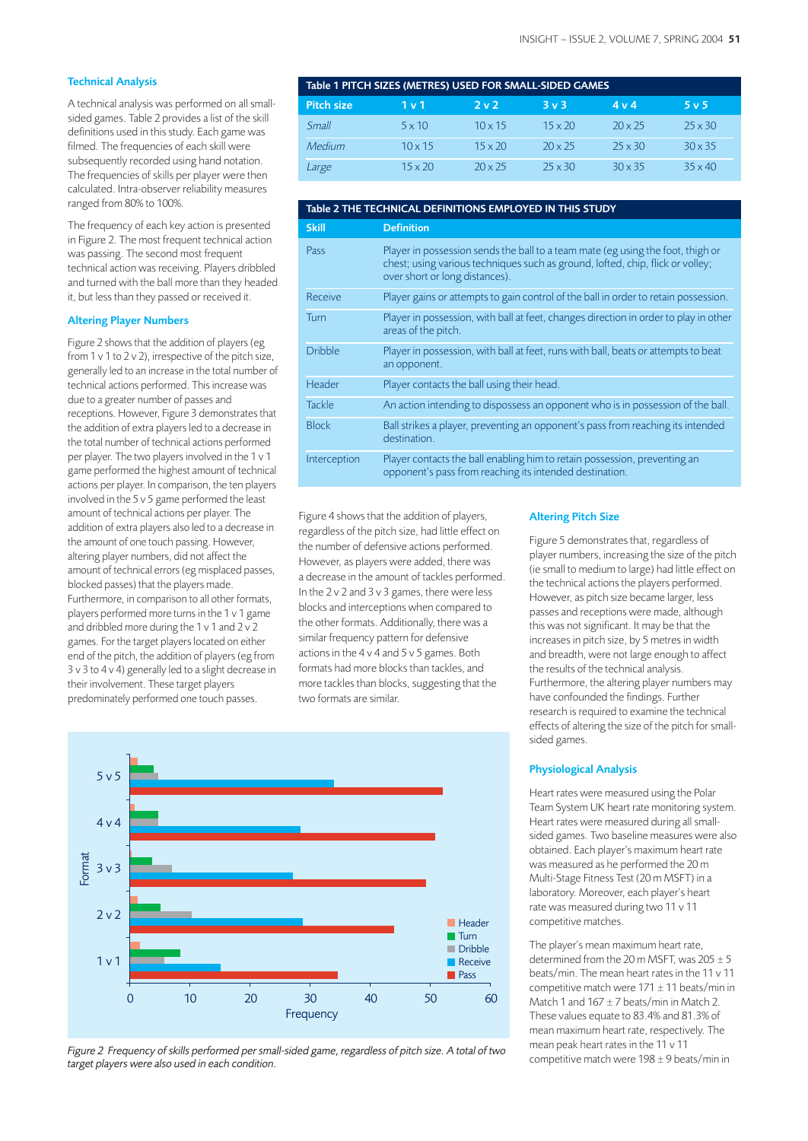## **Technical Analysis**

A technical analysis was performed on all smallsided games. Table 2 provides a list of the skill definitions used in this study. Each game was filmed. The frequencies of each skill were subsequently recorded using hand notation. The frequencies of skills per player were then calculated. Intra-observer reliability measures ranged from 80% to 100%.

The frequency of each key action is presented in Figure 2. The most frequent technical action was passing. The second most frequent technical action was receiving. Players dribbled and turned with the ball more than they headed it, but less than they passed or received it.

### Altering Player Numbers

Figure 2 shows that the addition of players (eg from 1 v 1 to 2 v 2), irrespective of the pitch size, generally led to an increase in the total number of technical actions performed. This increase was due to a greater number of passes and receptions. However, Figure 3 demonstrates that the addition of extra players led to a decrease in the total number of technical actions performed per player. The two players involved in the 1 v 1 game performed the highest amount of technical actions per player. In comparison, the ten players involved in the 5 v 5 game performed the least amount of technical actions per player. The addition of extra players also led to a decrease in the amount of one touch passing. However, altering player numbers, did not affect the amount of technical errors (eg misplaced passes, blocked passes) that the players made. Furthermore, in comparison to all other formats, players performed more turns in the 1 v 1 game and dribbled more during the 1 v 1 and 2 v 2 games. For the target players located on either end of the pitch, the addition of players (eg from 3 v 3 to 4 v 4) generally led to a slight decrease in their involvement. These target players predominately performed one touch passes.

| Table 1 PITCH SIZES (METRES) USED FOR SMALL-SIDED GAMES |                  |                |                |                |                |
|---------------------------------------------------------|------------------|----------------|----------------|----------------|----------------|
| <b>Pitch size</b>                                       | 1 <sub>v</sub> 1 | フッフ            | 3v3            | 4 v 4          | 5v5            |
| Small                                                   | $5 \times 10$    | $10 \times 15$ | $15 \times 20$ | $20 \times 25$ | $25 \times 30$ |
| Medium                                                  | $10 \times 15$   | $15 \times 20$ | $20 \times 25$ | $25 \times 30$ | $30 \times 35$ |
| Large                                                   | $15 \times 20$   | $20 \times 25$ | $25 \times 30$ | $30 \times 35$ | $35 \times 40$ |

| Table 2 THE TECHNICAL DEFINITIONS EMPLOYED IN THIS STUDY |                                                                                                                                                                                                     |  |  |  |
|----------------------------------------------------------|-----------------------------------------------------------------------------------------------------------------------------------------------------------------------------------------------------|--|--|--|
| <b>Skill</b>                                             | <b>Definition</b>                                                                                                                                                                                   |  |  |  |
| Pass                                                     | Player in possession sends the ball to a team mate (eg using the foot, thigh or<br>chest; using various techniques such as ground, lofted, chip, flick or volley;<br>over short or long distances). |  |  |  |
| Receive                                                  | Player gains or attempts to gain control of the ball in order to retain possession.                                                                                                                 |  |  |  |
| Turn                                                     | Player in possession, with ball at feet, changes direction in order to play in other<br>areas of the pitch.                                                                                         |  |  |  |
| <b>Dribble</b>                                           | Player in possession, with ball at feet, runs with ball, beats or attempts to beat<br>an opponent.                                                                                                  |  |  |  |
| Header                                                   | Player contacts the ball using their head.                                                                                                                                                          |  |  |  |
| <b>Tackle</b>                                            | An action intending to dispossess an opponent who is in possession of the ball.                                                                                                                     |  |  |  |
| <b>Block</b>                                             | Ball strikes a player, preventing an opponent's pass from reaching its intended<br>destination.                                                                                                     |  |  |  |
| Interception                                             | Player contacts the ball enabling him to retain possession, preventing an<br>opponent's pass from reaching its intended destination.                                                                |  |  |  |

Figure 4 shows that the addition of players, regardless of the pitch size, had little effect on the number of defensive actions performed. However, as players were added, there was a decrease in the amount of tackles performed. In the 2 v 2 and 3 v 3 games, there were less blocks and interceptions when compared to the other formats. Additionally, there was a similar frequency pattern for defensive actions in the 4 v 4 and 5 v 5 games. Both formats had more blocks than tackles, and more tackles than blocks, suggesting that the two formats are similar.



*Figure 2 Frequency of skills performed per small-sided game, regardless of pitch size. A total of two*

### Altering Pitch Size

Figure 5 demonstrates that, regardless of player numbers, increasing the size of the pitch (ie small to medium to large) had little effect on the technical actions the players performed. However, as pitch size became larger, less passes and receptions were made, although this was not significant. It may be that the increases in pitch size, by 5 metres in width and breadth, were not large enough to affect the results of the technical analysis. Furthermore, the altering player numbers may have confounded the findings. Further research is required to examine the technical effects of altering the size of the pitch for smallsided games.

### Physiological Analysis

Heart rates were measured using the Polar Team System UK heart rate monitoring system. Heart rates were measured during all smallsided games. Two baseline measures were also obtained. Each player's maximum heart rate was measured as he performed the 20 m Multi-Stage Fitness Test (20 m MSFT) in a laboratory. Moreover, each player's heart rate was measured during two 11 v 11 competitive matches.

The player's mean maximum heart rate, determined from the 20 m MSFT, was  $205 \pm 5$ beats/min. The mean heart rates in the 11 v 11 competitive match were  $171 \pm 11$  beats/min in Match 1 and  $167 \pm 7$  beats/min in Match 2. These values equate to 83.4% and 81.3% of mean maximum heart rate, respectively. The mean peak heart rates in the 11 v 11 competitive match were 198 ± 9 beats/min in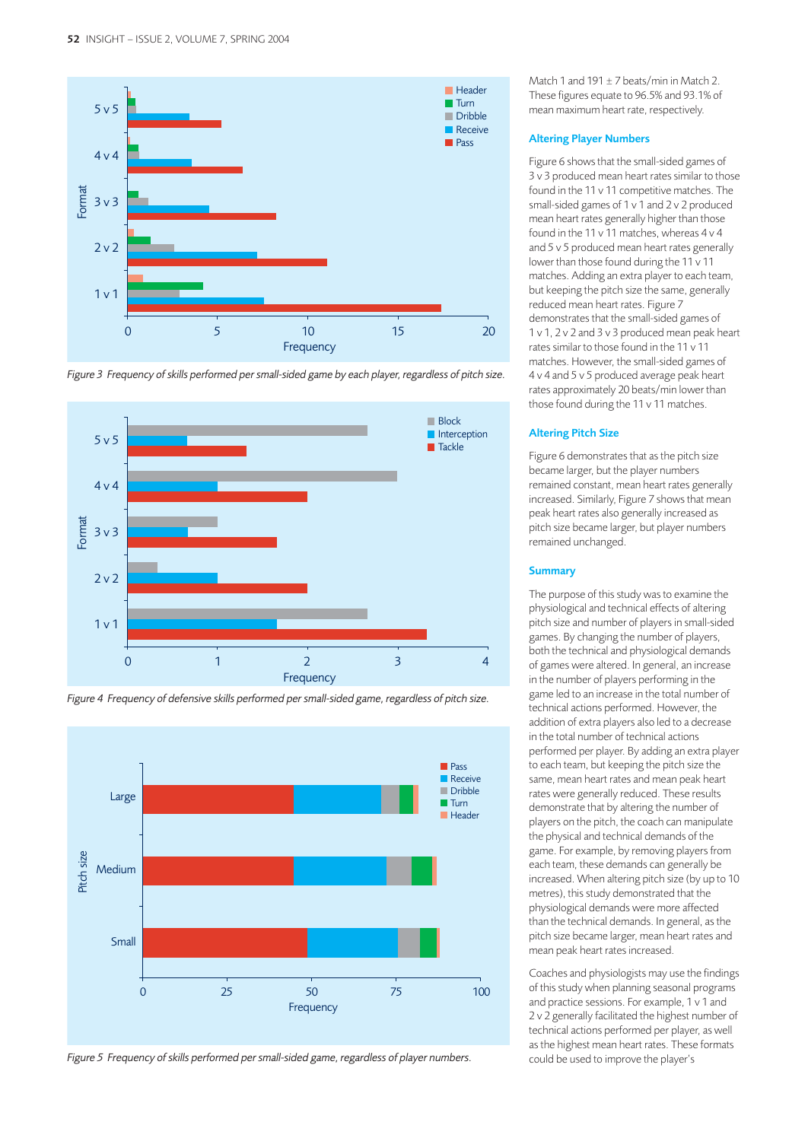







*Figure 5 Frequency of skills performed per small-sided game, regardless of player numbers.*

Match 1 and 191  $\pm$  7 beats/min in Match 2. These figures equate to 96.5% and 93.1% of mean maximum heart rate, respectively.

# Altering Player Numbers

Figure 6 shows that the small-sided games of 3 v 3 produced mean heart rates similar to those found in the 11 v 11 competitive matches. The small-sided games of 1 v 1 and 2 v 2 produced mean heart rates generally higher than those found in the 11 v 11 matches, whereas 4 v 4 and 5 v 5 produced mean heart rates generally lower than those found during the 11 v 11 matches. Adding an extra player to each team, but keeping the pitch size the same, generally reduced mean heart rates. Figure 7 demonstrates that the small-sided games of 1 v 1, 2 v 2 and 3 v 3 produced mean peak heart rates similar to those found in the 11 v 11 matches. However, the small-sided games of 4 v 4 and 5 v 5 produced average peak heart rates approximately 20 beats/min lower than those found during the 11 v 11 matches.

### Altering Pitch Size

Figure 6 demonstrates that as the pitch size became larger, but the player numbers remained constant, mean heart rates generally increased. Similarly, Figure 7 shows that mean peak heart rates also generally increased as pitch size became larger, but player numbers remained unchanged.

## **Summary**

The purpose of this study was to examine the physiological and technical effects of altering pitch size and number of players in small-sided games. By changing the number of players, both the technical and physiological demands of games were altered. In general, an increase in the number of players performing in the game led to an increase in the total number of technical actions performed. However, the addition of extra players also led to a decrease in the total number of technical actions performed per player. By adding an extra player to each team, but keeping the pitch size the same, mean heart rates and mean peak heart rates were generally reduced. These results demonstrate that by altering the number of players on the pitch, the coach can manipulate the physical and technical demands of the game. For example, by removing players from each team, these demands can generally be increased. When altering pitch size (by up to 10 metres), this study demonstrated that the physiological demands were more affected than the technical demands. In general, as the pitch size became larger, mean heart rates and mean peak heart rates increased.

Coaches and physiologists may use the findings of this study when planning seasonal programs and practice sessions. For example, 1 v 1 and 2 v 2 generally facilitated the highest number of technical actions performed per player, as well as the highest mean heart rates. These formats could be used to improve the player's